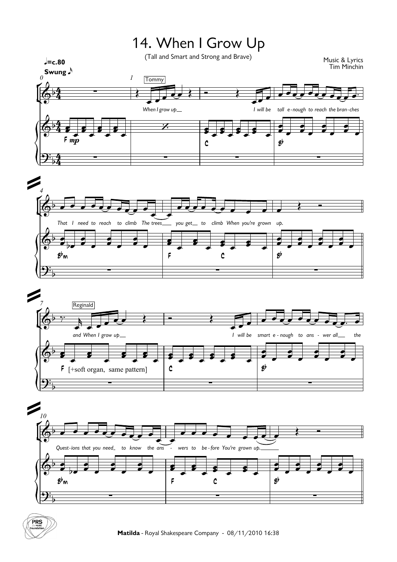## 14. When I Grow Up

(Tall and Smart and Strong and Brave)

Music & Lyrics







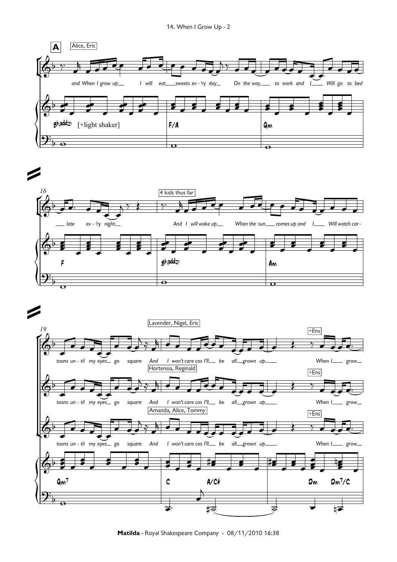





Matilda - Royal Shakespeare Company - 08/11/2010 16:38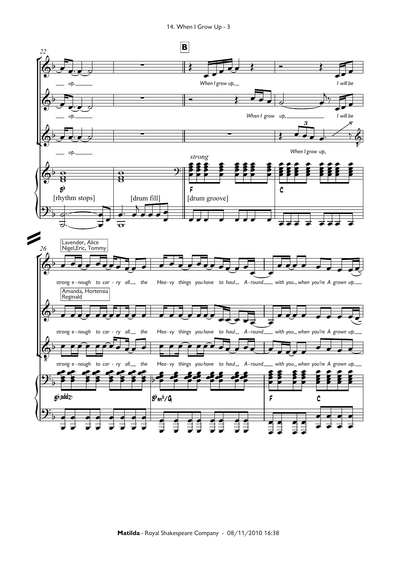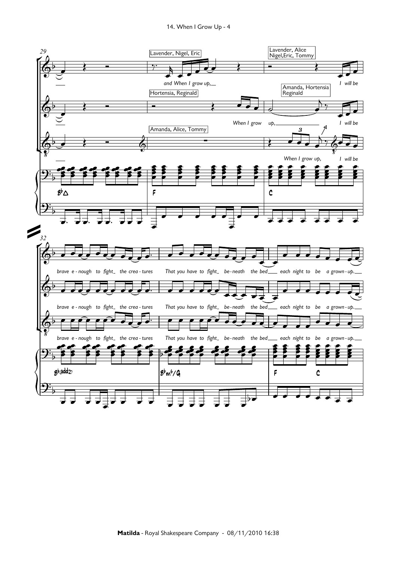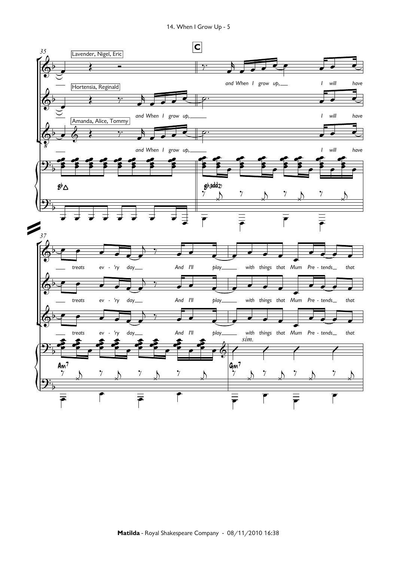14. When I Grow Up - 5

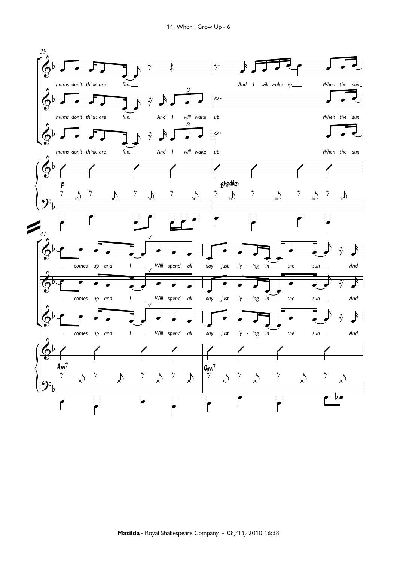

Matilda - Royal Shakespeare Company - 08/11/2010 16:38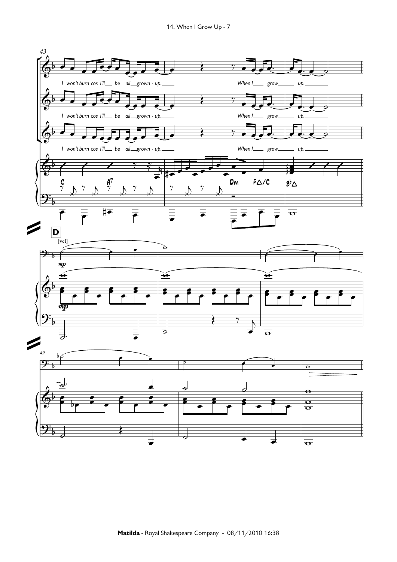14. When I Grow Up - 7

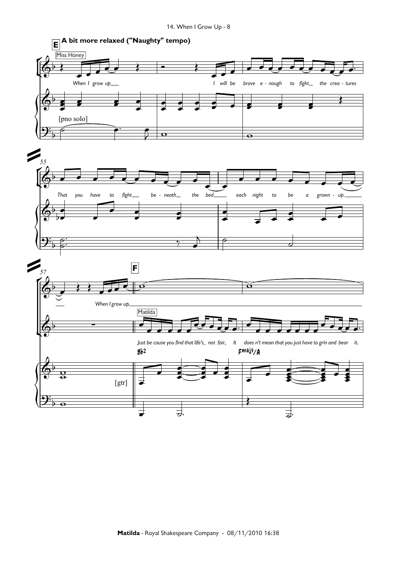